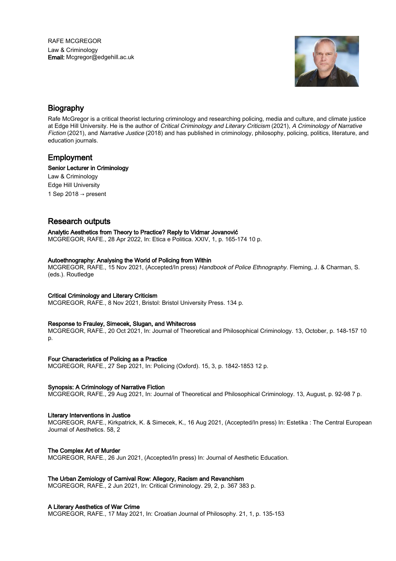RAFE MCGREGOR Law & Criminology Email: Mcgregor@edgehill.ac.uk



# Biography

Rafe McGregor is a critical theorist lecturing criminology and researching policing, media and culture, and climate justice at Edge Hill University. He is the author of Critical Criminology and Literary Criticism (2021), A Criminology of Narrative Fiction (2021), and Narrative Justice (2018) and has published in criminology, philosophy, policing, politics, literature, and education journals.

# Employment

# Senior Lecturer in Criminology

Law & Criminology Edge Hill University 1 Sep 2018  $\rightarrow$  present

# Research outputs

Analytic Aesthetics from Theory to Practice? Reply to Vidmar Jovanović MCGREGOR, RAFE., 28 Apr 2022, In: Etica e Politica. XXIV, 1, p. 165-174 10 p.

### Autoethnography: Analysing the World of Policing from Within

MCGREGOR, RAFE., 15 Nov 2021, (Accepted/In press) Handbook of Police Ethnography. Fleming, J. & Charman, S. (eds.). Routledge

# Critical Criminology and Literary Criticism

MCGREGOR, RAFE., 8 Nov 2021, Bristol: Bristol University Press. 134 p.

# Response to Frauley, Simecek, Slugan, and Whitecross

MCGREGOR, RAFE., 20 Oct 2021, In: Journal of Theoretical and Philosophical Criminology. 13, October, p. 148-157 10 p.

# Four Characteristics of Policing as a Practice

MCGREGOR, RAFE., 27 Sep 2021, In: Policing (Oxford). 15, 3, p. 1842-1853 12 p.

# Synopsis: A Criminology of Narrative Fiction

MCGREGOR, RAFE., 29 Aug 2021, In: Journal of Theoretical and Philosophical Criminology. 13, August, p. 92-98 7 p.

# Literary Interventions in Justice

MCGREGOR, RAFE., Kirkpatrick, K. & Simecek, K., 16 Aug 2021, (Accepted/In press) In: Estetika : The Central European Journal of Aesthetics. 58, 2

### The Complex Art of Murder

MCGREGOR, RAFE., 26 Jun 2021, (Accepted/In press) In: Journal of Aesthetic Education.

# The Urban Zemiology of Carnival Row: Allegory, Racism and Revanchism

MCGREGOR, RAFE., 2 Jun 2021, In: Critical Criminology. 29, 2, p. 367 383 p.

### A Literary Aesthetics of War Crime

MCGREGOR, RAFE., 17 May 2021, In: Croatian Journal of Philosophy. 21, 1, p. 135-153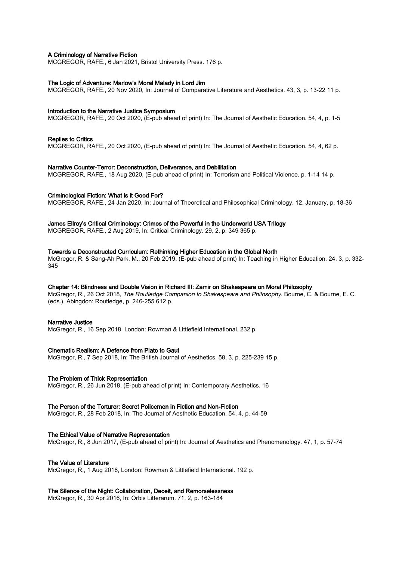# A Criminology of Narrative Fiction

MCGREGOR, RAFE., 6 Jan 2021, Bristol University Press. 176 p.

#### The Logic of Adventure: Marlow's Moral Malady in Lord Jim

MCGREGOR, RAFE., 20 Nov 2020, In: Journal of Comparative Literature and Aesthetics. 43, 3, p. 13-22 11 p.

#### Introduction to the Narrative Justice Symposium

MCGREGOR, RAFE., 20 Oct 2020, (E-pub ahead of print) In: The Journal of Aesthetic Education. 54, 4, p. 1-5

#### Replies to Critics

MCGREGOR, RAFE., 20 Oct 2020, (E-pub ahead of print) In: The Journal of Aesthetic Education. 54, 4, 62 p.

#### Narrative Counter-Terror: Deconstruction, Deliverance, and Debilitation

MCGREGOR, RAFE., 18 Aug 2020, (E-pub ahead of print) In: Terrorism and Political Violence. p. 1-14 14 p.

#### Criminological Fiction: What is it Good For?

MCGREGOR, RAFE., 24 Jan 2020, In: Journal of Theoretical and Philosophical Criminology. 12, January, p. 18-36

### James Ellroy's Critical Criminology: Crimes of the Powerful in the Underworld USA Trilogy

MCGREGOR, RAFE., 2 Aug 2019, In: Critical Criminology. 29, 2, p. 349 365 p.

#### Towards a Deconstructed Curriculum: Rethinking Higher Education in the Global North

McGregor, R. & Sang-Ah Park, M., 20 Feb 2019, (E-pub ahead of print) In: Teaching in Higher Education. 24, 3, p. 332- 345

#### Chapter 14: Blindness and Double Vision in Richard III: Zamir on Shakespeare on Moral Philosophy

McGregor, R., 26 Oct 2018, The Routledge Companion to Shakespeare and Philosophy. Bourne, C. & Bourne, E. C. (eds.). Abingdon: Routledge, p. 246-255 612 p.

#### Narrative Justice

McGregor, R., 16 Sep 2018, London: Rowman & Littlefield International. 232 p.

#### Cinematic Realism: A Defence from Plato to Gaut

McGregor, R., 7 Sep 2018, In: The British Journal of Aesthetics. 58, 3, p. 225-239 15 p.

#### The Problem of Thick Representation

McGregor, R., 26 Jun 2018, (E-pub ahead of print) In: Contemporary Aesthetics. 16

### The Person of the Torturer: Secret Policemen in Fiction and Non-Fiction

McGregor, R., 28 Feb 2018, In: The Journal of Aesthetic Education. 54, 4, p. 44-59

#### The Ethical Value of Narrative Representation

McGregor, R., 8 Jun 2017, (E-pub ahead of print) In: Journal of Aesthetics and Phenomenology. 47, 1, p. 57-74

#### The Value of Literature

McGregor, R., 1 Aug 2016, London: Rowman & Littlefield International. 192 p.

#### The Silence of the Night: Collaboration, Deceit, and Remorselessness

McGregor, R., 30 Apr 2016, In: Orbis Litterarum. 71, 2, p. 163-184